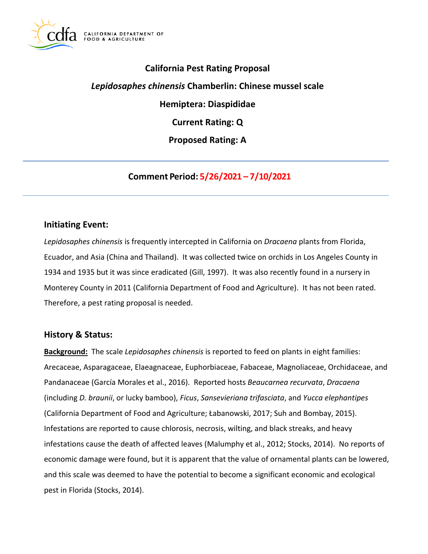

# **California Pest Rating Proposal**

# *Lepidosaphes chinensis* **Chamberlin: Chinese mussel scale**

**Hemiptera: Diaspididae** 

**Current Rating: Q** 

**Proposed Rating: A** 

**Comment Period: 5/26/2021 – 7/10/2021**

### **Initiating Event:**

*Lepidosaphes chinensis* is frequently intercepted in California on *Dracaena* plants from Florida, Ecuador, and Asia (China and Thailand). It was collected twice on orchids in Los Angeles County in 1934 and 1935 but it was since eradicated (Gill, 1997). It was also recently found in a nursery in Monterey County in 2011 (California Department of Food and Agriculture). It has not been rated. Therefore, a pest rating proposal is needed.

### **History & Status:**

**Background:** The scale *Lepidosaphes chinensis* is reported to feed on plants in eight families: Arecaceae, Asparagaceae, Elaeagnaceae, Euphorbiaceae, Fabaceae, Magnoliaceae, Orchidaceae, and Pandanaceae (García Morales et al., 2016). Reported hosts *Beaucarnea recurvata*, *Dracaena*  (including *D. braunii*, or lucky bamboo), *Ficus*, *Sansevieriana trifasciata*, and *Yucca elephantipes*  (California Department of Food and Agriculture; Łabanowski, 2017; Suh and Bombay, 2015). Infestations are reported to cause chlorosis, necrosis, wilting, and black streaks, and heavy infestations cause the death of affected leaves (Malumphy et al., 2012; Stocks, 2014). No reports of economic damage were found, but it is apparent that the value of ornamental plants can be lowered, and this scale was deemed to have the potential to become a significant economic and ecological pest in Florida (Stocks, 2014).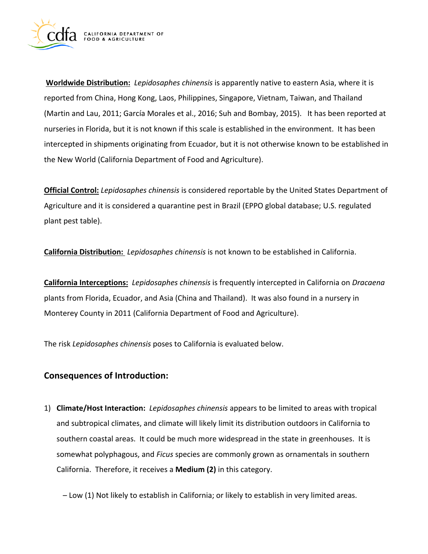

**Worldwide Distribution:** *Lepidosaphes chinensis* is apparently native to eastern Asia, where it is reported from China, Hong Kong, Laos, Philippines, Singapore, Vietnam, Taiwan, and Thailand (Martin and Lau, 2011; García Morales et al., 2016; Suh and Bombay, 2015). It has been reported at nurseries in Florida, but it is not known if this scale is established in the environment. It has been intercepted in shipments originating from Ecuador, but it is not otherwise known to be established in the New World (California Department of Food and Agriculture).

**Official Control:** *Lepidosaphes chinensis* is considered reportable by the United States Department of Agriculture and it is considered a quarantine pest in Brazil (EPPO global database; U.S. regulated plant pest table).

**California Distribution:** *Lepidosaphes chinensis* is not known to be established in California.

**California Interceptions:** *Lepidosaphes chinensis* is frequently intercepted in California on *Dracaena*  plants from Florida, Ecuador, and Asia (China and Thailand). It was also found in a nursery in Monterey County in 2011 (California Department of Food and Agriculture).

The risk *Lepidosaphes chinensis* poses to California is evaluated below.

# **Consequences of Introduction:**

1) **Climate/Host Interaction:** *Lepidosaphes chinensis* appears to be limited to areas with tropical and subtropical climates, and climate will likely limit its distribution outdoors in California to southern coastal areas. It could be much more widespread in the state in greenhouses. It is somewhat polyphagous, and *Ficus* species are commonly grown as ornamentals in southern California. Therefore, it receives a **Medium (2)** in this category.

– Low (1) Not likely to establish in California; or likely to establish in very limited areas.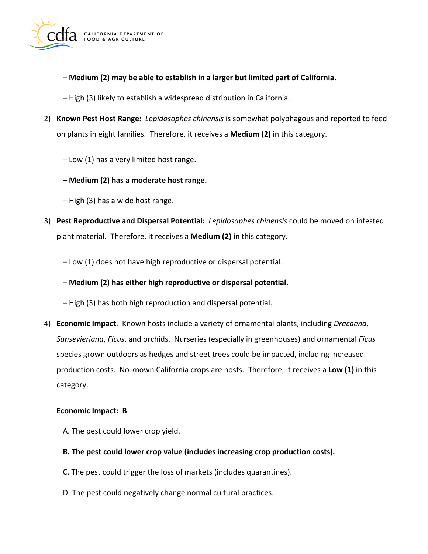

- **– Medium (2) may be able to establish in a larger but limited part of California.**
- High (3) likely to establish a widespread distribution in California.
- 2) **Known Pest Host Range:** *Lepidosaphes chinensis* is somewhat polyphagous and reported to feed on plants in eight families. Therefore, it receives a **Medium (2)** in this category.
	- Low (1) has a very limited host range.
	- **– Medium (2) has a moderate host range.**
	- High (3) has a wide host range.
- 3) **Pest Reproductive and Dispersal Potential:** *Lepidosaphes chinensis* could be moved on infested plant material. Therefore, it receives a **Medium (2)** in this category.
	- Low (1) does not have high reproductive or dispersal potential.
	- **– Medium (2) has either high reproductive or dispersal potential.**
	- High (3) has both high reproduction and dispersal potential.
- 4) **Economic Impact**. Known hosts include a variety of ornamental plants, including *Dracaena*, *Sansevieriana*, *Ficus*, and orchids. Nurseries (especially in greenhouses) and ornamental *Ficus*  species grown outdoors as hedges and street trees could be impacted, including increased production costs. No known California crops are hosts. Therefore, it receives a **Low (1)** in this category.

#### **Economic Impact: B**

- A. The pest could lower crop yield.
- **B. The pest could lower crop value (includes increasing crop production costs).**
- C. The pest could trigger the loss of markets (includes quarantines).
- D. The pest could negatively change normal cultural practices.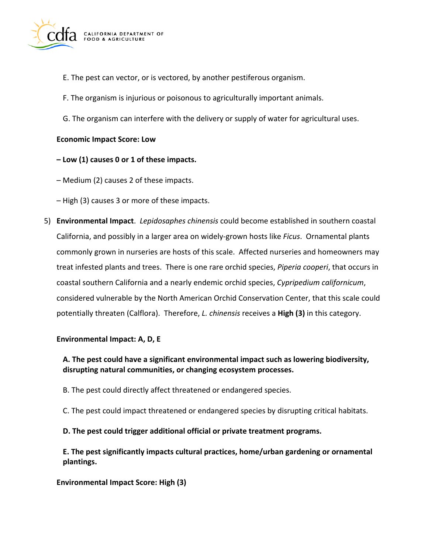

- E. The pest can vector, or is vectored, by another pestiferous organism.
- F. The organism is injurious or poisonous to agriculturally important animals.
- G. The organism can interfere with the delivery or supply of water for agricultural uses.

### **Economic Impact Score: Low**

### **– Low (1) causes 0 or 1 of these impacts.**

– Medium (2) causes 2 of these impacts.

– High (3) causes 3 or more of these impacts.

5) **Environmental Impact**. *Lepidosaphes chinensis* could become established in southern coastal California, and possibly in a larger area on widely-grown hosts like *Ficus*. Ornamental plants commonly grown in nurseries are hosts of this scale. Affected nurseries and homeowners may treat infested plants and trees. There is one rare orchid species, *Piperia cooperi*, that occurs in coastal southern California and a nearly endemic orchid species, *Cypripedium californicum*, considered vulnerable by the North American Orchid Conservation Center, that this scale could potentially threaten (Calflora). Therefore, *L. chinensis* receives a **High (3)** in this category.

#### **Environmental Impact: A, D, E**

## **A. The pest could have a significant environmental impact such as lowering biodiversity, disrupting natural communities, or changing ecosystem processes.**

- B. The pest could directly affect threatened or endangered species.
- C. The pest could impact threatened or endangered species by disrupting critical habitats.

#### **D. The pest could trigger additional official or private treatment programs.**

**E. The pest significantly impacts cultural practices, home/urban gardening or ornamental plantings.** 

#### **Environmental Impact Score: High (3)**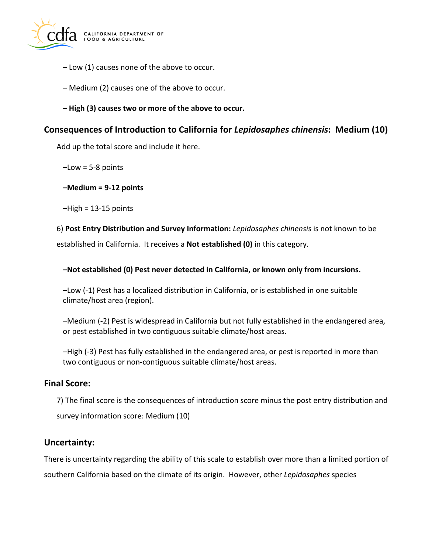

- Low (1) causes none of the above to occur.
- Medium (2) causes one of the above to occur.
- **– High (3) causes two or more of the above to occur.**

# **Consequences of Introduction to California for** *Lepidosaphes chinensis***: Medium (10)**

Add up the total score and include it here.

 $-Low = 5-8$  points

### **–Medium = 9-12 points**

 $-High = 13-15$  points

6) **Post Entry Distribution and Survey Information:** *Lepidosaphes chinensis* is not known to be

established in California. It receives a **Not established (0)** in this category.

### **–Not established (0) Pest never detected in California, or known only from incursions.**

–Low (-1) Pest has a localized distribution in California, or is established in one suitable climate/host area (region).

–Medium (-2) Pest is widespread in California but not fully established in the endangered area, or pest established in two contiguous suitable climate/host areas.

–High (-3) Pest has fully established in the endangered area, or pest is reported in more than two contiguous or non-contiguous suitable climate/host areas.

### **Final Score:**

7) The final score is the consequences of introduction score minus the post entry distribution and survey information score: Medium (10)

### **Uncertainty:**

There is uncertainty regarding the ability of this scale to establish over more than a limited portion of southern California based on the climate of its origin. However, other *Lepidosaphes* species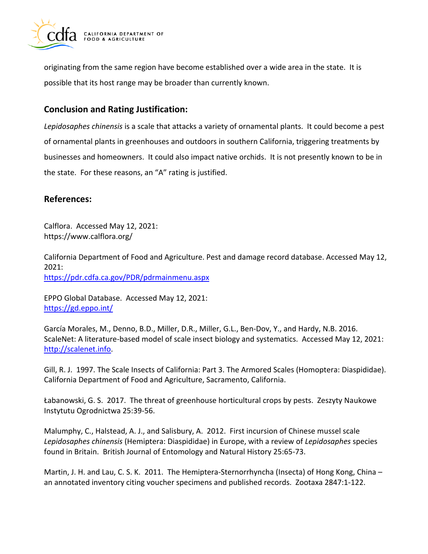

originating from the same region have become established over a wide area in the state. It is possible that its host range may be broader than currently known.

# **Conclusion and Rating Justification:**

*Lepidosaphes chinensis* is a scale that attacks a variety of ornamental plants. It could become a pest of ornamental plants in greenhouses and outdoors in southern California, triggering treatments by businesses and homeowners. It could also impact native orchids. It is not presently known to be in the state. For these reasons, an "A" rating is justified.

# **References:**

Calflora. Accessed May 12, 2021: [https://www.calflora.org/](https://www.calflora.org)

California Department of Food and Agriculture. Pest and damage record database. Accessed May 12, 2021: <https://pdr.cdfa.ca.gov/PDR/pdrmainmenu.aspx>

EPPO Global Database. Accessed May 12, 2021: <https://gd.eppo.int/>

García Morales, M., Denno, B.D., Miller, D.R., Miller, G.L., Ben-Dov, Y., and Hardy, N.B. 2016. ScaleNet: A literature-based model of scale insect biology and systematics. Accessed May 12, 2021: [http://scalenet.info.](http://scalenet.info/)

Gill, R. J. 1997. The Scale Insects of California: Part 3. The Armored Scales (Homoptera: Diaspididae). California Department of Food and Agriculture, Sacramento, California.

Łabanowski, G. S. 2017. The threat of greenhouse horticultural crops by pests. Zeszyty Naukowe Instytutu Ogrodnictwa 25:39-56.

Malumphy, C., Halstead, A. J., and Salisbury, A. 2012. First incursion of Chinese mussel scale *Lepidosaphes chinensis* (Hemiptera: Diaspididae) in Europe, with a review of *Lepidosaphes* species found in Britain. British Journal of Entomology and Natural History 25:65-73.

Martin, J. H. and Lau, C. S. K. 2011. The Hemiptera-Sternorrhyncha (Insecta) of Hong Kong, China – an annotated inventory citing voucher specimens and published records. Zootaxa 2847:1-122.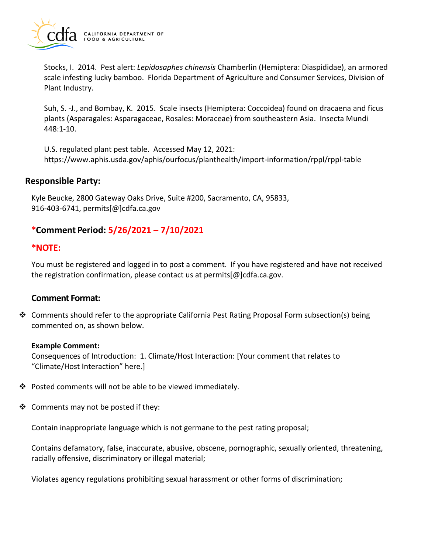

Stocks, I. 2014. Pest alert: *Lepidosaphes chinensis* Chamberlin (Hemiptera: Diaspididae), an armored scale infesting lucky bamboo. Florida Department of Agriculture and Consumer Services, Division of Plant Industry.

Suh, S. -J., and Bombay, K. 2015. Scale insects (Hemiptera: Coccoidea) found on dracaena and ficus plants (Asparagales: Asparagaceae, Rosales: Moraceae) from southeastern Asia. Insecta Mundi 448:1-10.

U.S. regulated plant pest table. Accessed May 12, 2021: <https://www.aphis.usda.gov/aphis/ourfocus/planthealth/import-information/rppl/rppl-table>

### **Responsible Party:**

Kyle Beucke, 2800 Gateway Oaks Drive, Suite #200, Sacramento, CA, 95833, 916-403-6741, [permits\[@\]cdfa.ca.gov](https://permits[@]cdfa.ca.gov) 

# **\*Comment Period: 5/26/2021 – 7/10/2021**

## **\*NOTE:**

You must be registered and logged in to post a comment. If you have registered and have not received the registration confirmation, please contact us at [permits\[@\]cdfa.ca.gov](https://permits[@]cdfa.ca.gov).

# **Comment Format:**

❖ Comments should refer to the appropriate California Pest Rating Proposal Form subsection(s) being commented on, as shown below.

#### **Example Comment:**

Consequences of Introduction: 1. Climate/Host Interaction: [Your comment that relates to "Climate/Host Interaction" here.]

- ❖ Posted comments will not be able to be viewed immediately.
- ❖ Comments may not be posted if they:

Contain inappropriate language which is not germane to the pest rating proposal;

Contains defamatory, false, inaccurate, abusive, obscene, pornographic, sexually oriented, threatening, racially offensive, discriminatory or illegal material;

Violates agency regulations prohibiting sexual harassment or other forms of discrimination;